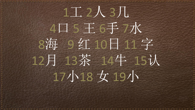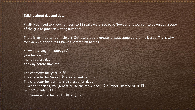## **Talking about day and date**

Firstly, you need to know numbers to 12 really well. See page 'tools and resources' to download a copy of the grid to practice writing numbers.

There is an important principle in Chinese that the greater always come before the lesser. That's why, for example, they put surnames before first names.

So when saying the date, you'd put: year before month, month before day and day before time etc

The character for 'year' is  $\#$ The character for 'moon' 月 also is used for 'month' The character for 'sun'  $\boxdot$  is also used for 'day'. (When speaking, you generally use the term 'hao'  $\frac{1}{2}$ (number) instead of 'ri'  $\boxminus$ ) So 15<sup>th</sup> of Feb 2013 in Chinese would be: 2013年2月15日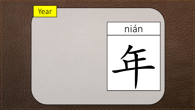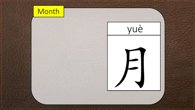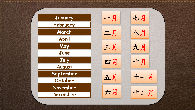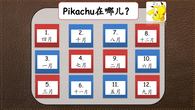$Z_{Z_z}$ **Pikachu**在哪儿? 7. 1. 2. 8. 十月 八月 四月 十二月 4. 3. 9. 10. 七月 六月 一月 二月 12. 11. 5. 6. 五月 三月九月 十一月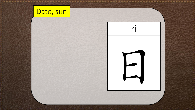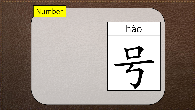